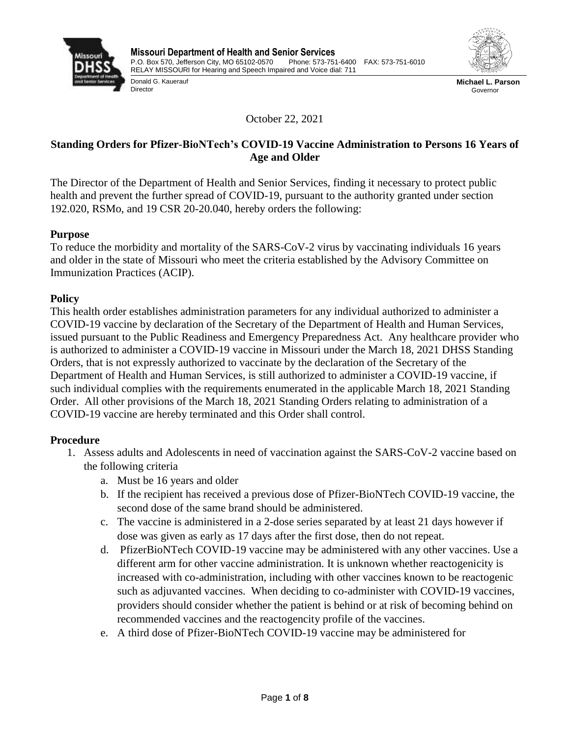

Donald G. Kauerauf

**Director** 



**Michael L. Parson** Governor

October 22, 2021

# **Standing Orders for Pfizer-BioNTech's COVID-19 Vaccine Administration to Persons 16 Years of Age and Older**

The Director of the Department of Health and Senior Services, finding it necessary to protect public health and prevent the further spread of COVID-19, pursuant to the authority granted under section 192.020, RSMo, and 19 CSR 20-20.040, hereby orders the following:

# **Purpose**

To reduce the morbidity and mortality of the SARS-CoV-2 virus by vaccinating individuals 16 years and older in the state of Missouri who meet the criteria established by the Advisory Committee on Immunization Practices (ACIP).

# **Policy**

This health order establishes administration parameters for any individual authorized to administer a COVID-19 vaccine by declaration of the Secretary of the Department of Health and Human Services, issued pursuant to the Public Readiness and Emergency Preparedness Act. Any healthcare provider who is authorized to administer a COVID-19 vaccine in Missouri under the March 18, 2021 DHSS Standing Orders, that is not expressly authorized to vaccinate by the declaration of the Secretary of the Department of Health and Human Services, is still authorized to administer a COVID-19 vaccine, if such individual complies with the requirements enumerated in the applicable March 18, 2021 Standing Order. All other provisions of the March 18, 2021 Standing Orders relating to administration of a COVID-19 vaccine are hereby terminated and this Order shall control.

# **Procedure**

- 1. Assess adults and Adolescents in need of vaccination against the SARS-CoV-2 vaccine based on the following criteria
	- a. Must be 16 years and older
	- b. If the recipient has received a previous dose of Pfizer-BioNTech COVID-19 vaccine, the second dose of the same brand should be administered.
	- c. The vaccine is administered in a 2-dose series separated by at least 21 days however if dose was given as early as 17 days after the first dose, then do not repeat.
	- d. PfizerBioNTech COVID-19 vaccine may be administered with any other vaccines. Use a different arm for other vaccine administration. It is unknown whether reactogenicity is increased with co-administration, including with other vaccines known to be reactogenic such as adjuvanted vaccines. When deciding to co-administer with COVID-19 vaccines, providers should consider whether the patient is behind or at risk of becoming behind on recommended vaccines and the reactogencity profile of the vaccines.
	- e. A third dose of Pfizer-BioNTech COVID-19 vaccine may be administered for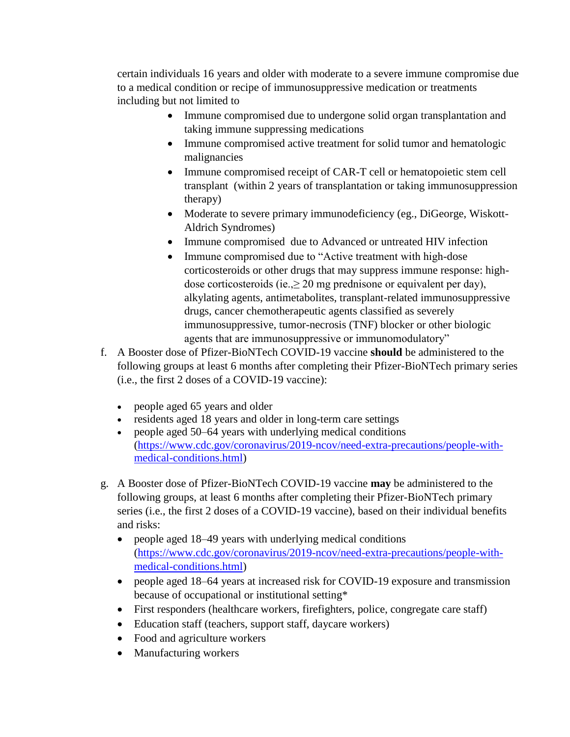certain individuals 16 years and older with moderate to a severe immune compromise due to a medical condition or recipe of immunosuppressive medication or treatments including but not limited to

- Immune compromised due to undergone solid organ transplantation and taking immune suppressing medications
- Immune compromised active treatment for solid tumor and hematologic malignancies
- Immune compromised receipt of CAR-T cell or hematopoietic stem cell transplant (within 2 years of transplantation or taking immunosuppression therapy)
- Moderate to severe primary immunodeficiency (eg., DiGeorge, Wiskott-Aldrich Syndromes)
- Immune compromised due to Advanced or untreated HIV infection
- Immune compromised due to "Active treatment with high-dose corticosteroids or other drugs that may suppress immune response: highdose corticosteroids (ie., $\geq 20$  mg prednisone or equivalent per day), alkylating agents, antimetabolites, transplant-related immunosuppressive drugs, cancer chemotherapeutic agents classified as severely immunosuppressive, tumor-necrosis (TNF) blocker or other biologic agents that are immunosuppressive or immunomodulatory"
- f. A Booster dose of Pfizer-BioNTech COVID-19 vaccine **should** be administered to the following groups at least 6 months after completing their Pfizer-BioNTech primary series (i.e., the first 2 doses of a COVID-19 vaccine):
	- people aged 65 years and older
	- residents aged 18 years and older in long-term care settings
	- people aged 50–64 years with underlying medical conditions [\(https://www.cdc.gov/coronavirus/2019-ncov/need-extra-precautions/people-with](https://www.cdc.gov/coronavirus/2019-ncov/need-extra-precautions/people-with-medical-conditions.html)[medical-conditions.html\)](https://www.cdc.gov/coronavirus/2019-ncov/need-extra-precautions/people-with-medical-conditions.html)
- g. A Booster dose of Pfizer-BioNTech COVID-19 vaccine **may** be administered to the following groups, at least 6 months after completing their Pfizer-BioNTech primary series (i.e., the first 2 doses of a COVID-19 vaccine), based on their individual benefits and risks:
	- people aged 18–49 years with [underlying medical conditions](https://www.cdc.gov/coronavirus/2019-ncov/need-extra-precautions/people-with-medical-conditions.html) [\(https://www.cdc.gov/coronavirus/2019-ncov/need-extra-precautions/people-with](https://www.cdc.gov/coronavirus/2019-ncov/need-extra-precautions/people-with-medical-conditions.html)[medical-conditions.html\)](https://www.cdc.gov/coronavirus/2019-ncov/need-extra-precautions/people-with-medical-conditions.html)
	- people aged 18–64 years at increased risk for COVID-19 exposure and transmission because of occupational or institutional setting\*
	- First responders (healthcare workers, firefighters, police, congregate care staff)
	- Education staff (teachers, support staff, daycare workers)
	- Food and agriculture workers
	- Manufacturing workers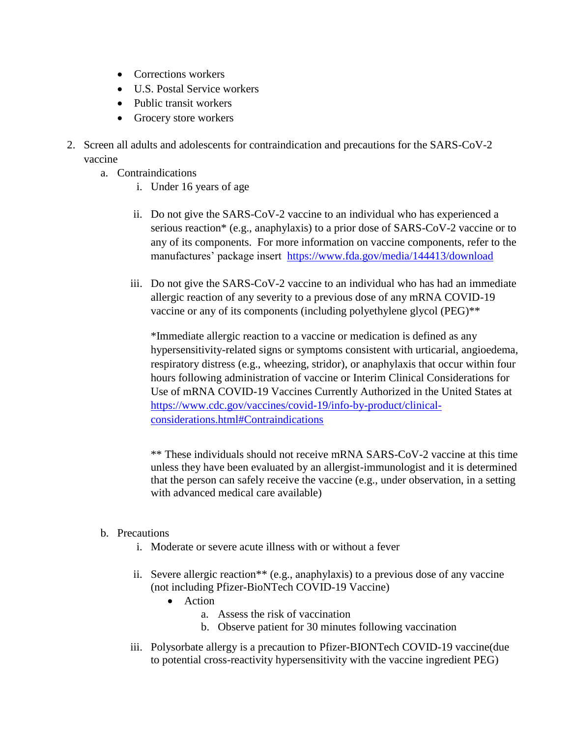- Corrections workers
- U.S. Postal Service workers
- Public transit workers
- Grocery store workers
- 2. Screen all adults and adolescents for contraindication and precautions for the SARS-CoV-2 vaccine
	- a. Contraindications
		- i. Under 16 years of age
		- ii. Do not give the SARS-CoV-2 vaccine to an individual who has experienced a serious reaction\* (e.g., anaphylaxis) to a prior dose of SARS-CoV-2 vaccine or to any of its components. For more information on vaccine components, refer to the manufactures' package insert <https://www.fda.gov/media/144413/download>
		- iii. Do not give the SARS-CoV-2 vaccine to an individual who has had an immediate allergic reaction of any severity to a previous dose of any mRNA COVID-19 vaccine or any of its components (including polyethylene glycol (PEG)\*\*

\*Immediate allergic reaction to a vaccine or medication is defined as any hypersensitivity-related signs or symptoms consistent with urticarial, angioedema, respiratory distress (e.g., wheezing, stridor), or anaphylaxis that occur within four hours following administration of vaccine or Interim Clinical Considerations for Use of mRNA COVID-19 Vaccines Currently Authorized in the United States at [https://www.cdc.gov/vaccines/covid-19/info-by-product/clinical](https://www.cdc.gov/vaccines/covid-19/info-by-product/clinical-considerations.html#Contraindications)[considerations.html#Contraindications](https://www.cdc.gov/vaccines/covid-19/info-by-product/clinical-considerations.html#Contraindications)

\*\* These individuals should not receive mRNA SARS-CoV-2 vaccine at this time unless they have been evaluated by an allergist-immunologist and it is determined that the person can safely receive the vaccine (e.g., under observation, in a setting with advanced medical care available)

### b. Precautions

- i. Moderate or severe acute illness with or without a fever
- ii. Severe allergic reaction\*\* (e.g., anaphylaxis) to a previous dose of any vaccine (not including Pfizer-BioNTech COVID-19 Vaccine)
	- Action
		- a. Assess the risk of vaccination
		- b. Observe patient for 30 minutes following vaccination
- iii. Polysorbate allergy is a precaution to Pfizer-BIONTech COVID-19 vaccine(due to potential cross-reactivity hypersensitivity with the vaccine ingredient PEG)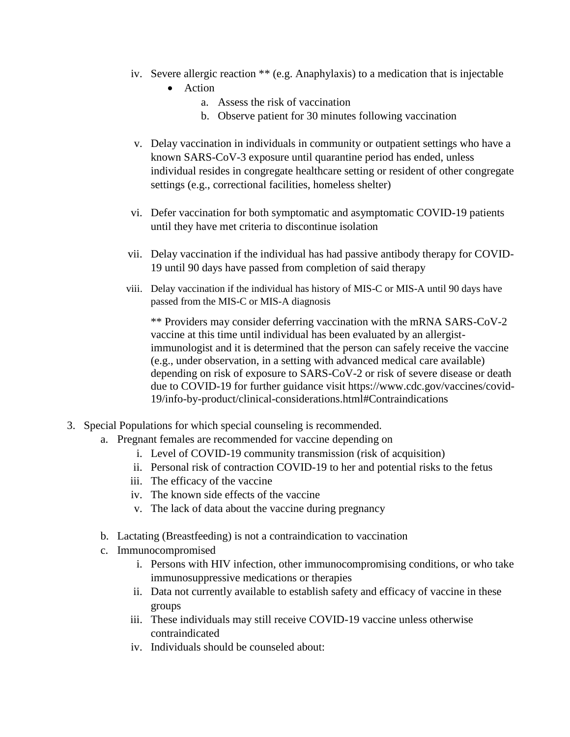- iv. Severe allergic reaction \*\* (e.g. Anaphylaxis) to a medication that is injectable
	- Action
		- a. Assess the risk of vaccination
		- b. Observe patient for 30 minutes following vaccination
- v. Delay vaccination in individuals in community or outpatient settings who have a known SARS-CoV-3 exposure until quarantine period has ended, unless individual resides in congregate healthcare setting or resident of other congregate settings (e.g., correctional facilities, homeless shelter)
- vi. Defer vaccination for both symptomatic and asymptomatic COVID-19 patients until they have met criteria to discontinue isolation
- vii. Delay vaccination if the individual has had passive antibody therapy for COVID-19 until 90 days have passed from completion of said therapy
- viii. Delay vaccination if the individual has history of MIS-C or MIS-A until 90 days have passed from the MIS-C or MIS-A diagnosis

\*\* Providers may consider deferring vaccination with the mRNA SARS-CoV-2 vaccine at this time until individual has been evaluated by an allergistimmunologist and it is determined that the person can safely receive the vaccine (e.g., under observation, in a setting with advanced medical care available) depending on risk of exposure to SARS-CoV-2 or risk of severe disease or death due to COVID-19 for further guidance visit https://www.cdc.gov/vaccines/covid-19/info-by-product/clinical-considerations.html#Contraindications

- 3. Special Populations for which special counseling is recommended.
	- a. Pregnant females are recommended for vaccine depending on
		- i. Level of COVID-19 community transmission (risk of acquisition)
		- ii. Personal risk of contraction COVID-19 to her and potential risks to the fetus
		- iii. The efficacy of the vaccine
		- iv. The known side effects of the vaccine
		- v. The lack of data about the vaccine during pregnancy
	- b. Lactating (Breastfeeding) is not a contraindication to vaccination
	- c. Immunocompromised
		- i. Persons with HIV infection, other immunocompromising conditions, or who take immunosuppressive medications or therapies
		- ii. Data not currently available to establish safety and efficacy of vaccine in these groups
		- iii. These individuals may still receive COVID-19 vaccine unless otherwise contraindicated
		- iv. Individuals should be counseled about: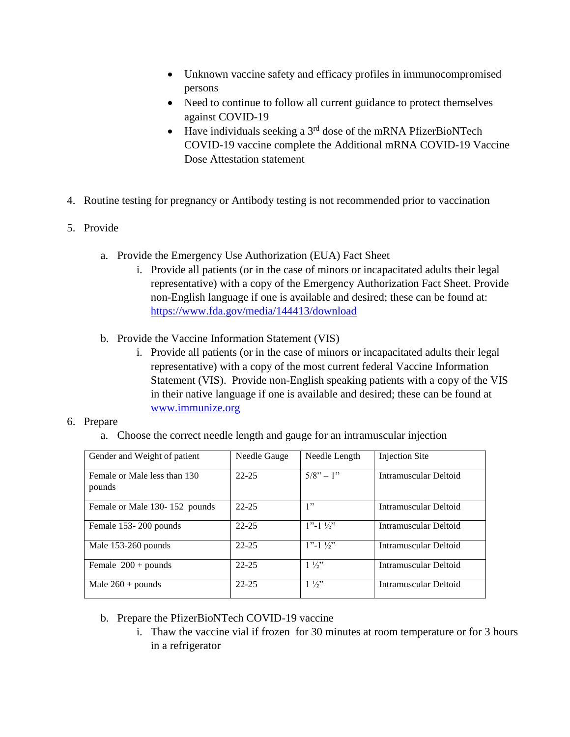- Unknown vaccine safety and efficacy profiles in immunocompromised persons
- Need to continue to follow all current guidance to protect themselves against COVID-19
- $\bullet$  Have individuals seeking a 3<sup>rd</sup> dose of the mRNA PfizerBioNTech COVID-19 vaccine complete the Additional mRNA COVID-19 Vaccine Dose Attestation statement
- 4. Routine testing for pregnancy or Antibody testing is not recommended prior to vaccination
- 5. Provide
	- a. Provide the Emergency Use Authorization (EUA) Fact Sheet
		- i. Provide all patients (or in the case of minors or incapacitated adults their legal representative) with a copy of the Emergency Authorization Fact Sheet. Provide non-English language if one is available and desired; these can be found at: <https://www.fda.gov/media/144413/download>
	- b. Provide the Vaccine Information Statement (VIS)
		- i. Provide all patients (or in the case of minors or incapacitated adults their legal representative) with a copy of the most current federal Vaccine Information Statement (VIS). Provide non-English speaking patients with a copy of the VIS in their native language if one is available and desired; these can be found at [www.immunize.org](http://www.immunize.org/)

#### 6. Prepare

a. Choose the correct needle length and gauge for an intramuscular injection

| Gender and Weight of patient           | Needle Gauge | Needle Length          | Injection Site        |
|----------------------------------------|--------------|------------------------|-----------------------|
| Female or Male less than 130<br>pounds | $22 - 25$    | $5/8" - 1"$            | Intramuscular Deltoid |
| Female or Male 130-152 pounds          | $22 - 25$    | 1"                     | Intramuscular Deltoid |
| Female 153-200 pounds                  | $22 - 25$    | $1"$ -1 $\frac{1}{2}"$ | Intramuscular Deltoid |
| Male 153-260 pounds                    | $22 - 25$    | $1"$ -1 $\frac{1}{2}"$ | Intramuscular Deltoid |
| Female $200 +$ pounds                  | $22 - 25$    | $1\frac{1}{2}$         | Intramuscular Deltoid |
| Male $260 +$ pounds                    | $22 - 25$    | $1\frac{1}{2}$         | Intramuscular Deltoid |

- b. Prepare the PfizerBioNTech COVID-19 vaccine
	- i. Thaw the vaccine vial if frozen for 30 minutes at room temperature or for 3 hours in a refrigerator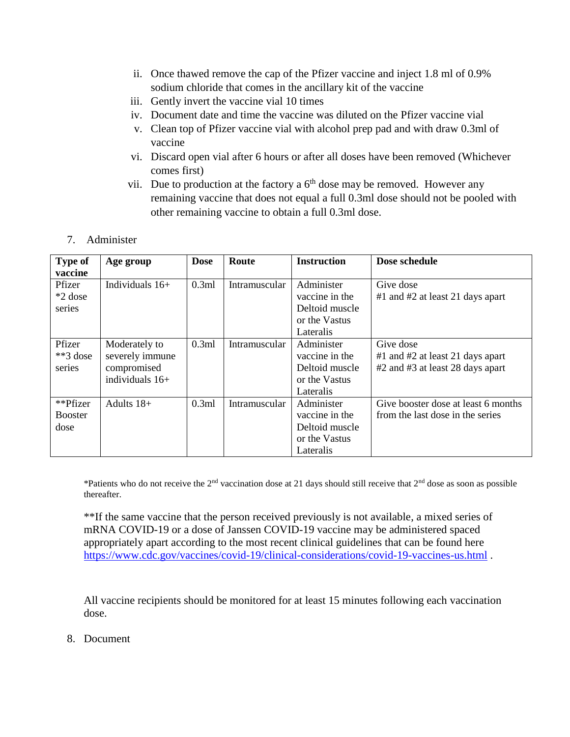- ii. Once thawed remove the cap of the Pfizer vaccine and inject 1.8 ml of 0.9% sodium chloride that comes in the ancillary kit of the vaccine
- iii. Gently invert the vaccine vial 10 times
- iv. Document date and time the vaccine was diluted on the Pfizer vaccine vial
- v. Clean top of Pfizer vaccine vial with alcohol prep pad and with draw 0.3ml of vaccine
- vi. Discard open vial after 6 hours or after all doses have been removed (Whichever comes first)
- vii. Due to production at the factory a  $6<sup>th</sup>$  dose may be removed. However any remaining vaccine that does not equal a full 0.3ml dose should not be pooled with other remaining vaccine to obtain a full 0.3ml dose.
- 7. Administer

| Type of        | Age group         | <b>Dose</b> | Route         | <b>Instruction</b> | Dose schedule                        |
|----------------|-------------------|-------------|---------------|--------------------|--------------------------------------|
| vaccine        |                   |             |               |                    |                                      |
| Pfizer         | Individuals $16+$ | 0.3ml       | Intramuscular | Administer         | Give dose                            |
| *2 dose        |                   |             |               | vaccine in the     | $#1$ and $#2$ at least 21 days apart |
| series         |                   |             |               | Deltoid muscle     |                                      |
|                |                   |             |               | or the Vastus      |                                      |
|                |                   |             |               | Lateralis          |                                      |
| Pfizer         | Moderately to     | 0.3ml       | Intramuscular | Administer         | Give dose                            |
| $**3$ dose     | severely immune   |             |               | vaccine in the     | $#1$ and $#2$ at least 21 days apart |
| series         | compromised       |             |               | Deltoid muscle     | #2 and #3 at least 28 days apart     |
|                | individuals $16+$ |             |               | or the Vastus      |                                      |
|                |                   |             |               | Lateralis          |                                      |
| **Pfizer       | Adults 18+        | 0.3ml       | Intramuscular | Administer         | Give booster dose at least 6 months  |
| <b>Booster</b> |                   |             |               | vaccine in the     | from the last dose in the series     |
| dose           |                   |             |               | Deltoid muscle     |                                      |
|                |                   |             |               | or the Vastus      |                                      |
|                |                   |             |               | Lateralis          |                                      |

\*Patients who do not receive the  $2<sup>nd</sup>$  vaccination dose at 21 days should still receive that  $2<sup>nd</sup>$  dose as soon as possible thereafter.

\*\*If the same vaccine that the person received previously is not available, a mixed series of mRNA COVID-19 or a dose of Janssen COVID-19 vaccine may be administered spaced appropriately apart according to the most recent clinical guidelines that can be found here <https://www.cdc.gov/vaccines/covid-19/clinical-considerations/covid-19-vaccines-us.html> .

All vaccine recipients should be monitored for at least 15 minutes following each vaccination dose.

8. Document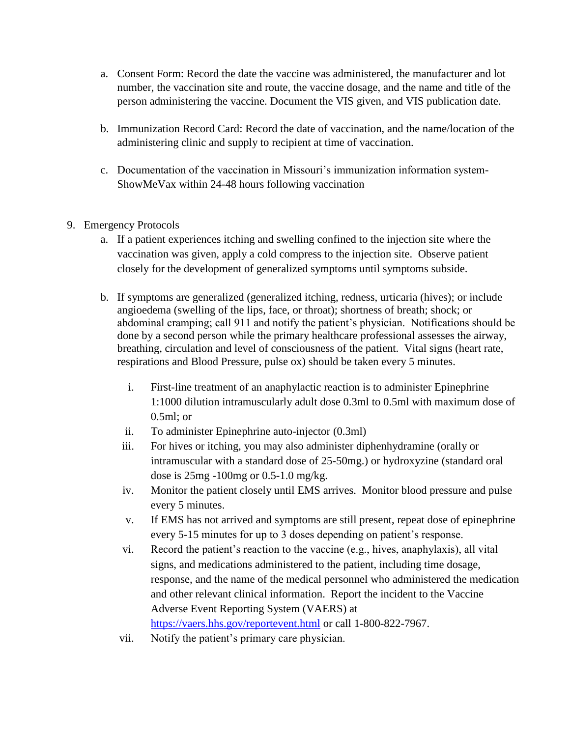- a. Consent Form: Record the date the vaccine was administered, the manufacturer and lot number, the vaccination site and route, the vaccine dosage, and the name and title of the person administering the vaccine. Document the VIS given, and VIS publication date.
- b. Immunization Record Card: Record the date of vaccination, and the name/location of the administering clinic and supply to recipient at time of vaccination.
- c. Documentation of the vaccination in Missouri's immunization information system-ShowMeVax within 24-48 hours following vaccination
- 9. Emergency Protocols
	- a. If a patient experiences itching and swelling confined to the injection site where the vaccination was given, apply a cold compress to the injection site. Observe patient closely for the development of generalized symptoms until symptoms subside.
	- b. If symptoms are generalized (generalized itching, redness, urticaria (hives); or include angioedema (swelling of the lips, face, or throat); shortness of breath; shock; or abdominal cramping; call 911 and notify the patient's physician. Notifications should be done by a second person while the primary healthcare professional assesses the airway, breathing, circulation and level of consciousness of the patient. Vital signs (heart rate, respirations and Blood Pressure, pulse ox) should be taken every 5 minutes.
		- i. First-line treatment of an anaphylactic reaction is to administer Epinephrine 1:1000 dilution intramuscularly adult dose 0.3ml to 0.5ml with maximum dose of 0.5ml; or
		- ii. To administer Epinephrine auto-injector (0.3ml)
		- iii. For hives or itching, you may also administer diphenhydramine (orally or intramuscular with a standard dose of 25-50mg.) or hydroxyzine (standard oral dose is 25mg -100mg or 0.5-1.0 mg/kg.
		- iv. Monitor the patient closely until EMS arrives. Monitor blood pressure and pulse every 5 minutes.
		- v. If EMS has not arrived and symptoms are still present, repeat dose of epinephrine every 5-15 minutes for up to 3 doses depending on patient's response.
		- vi. Record the patient's reaction to the vaccine (e.g., hives, anaphylaxis), all vital signs, and medications administered to the patient, including time dosage, response, and the name of the medical personnel who administered the medication and other relevant clinical information. Report the incident to the Vaccine Adverse Event Reporting System (VAERS) at <https://vaers.hhs.gov/reportevent.html> or call 1-800-822-7967.
		- vii. Notify the patient's primary care physician.